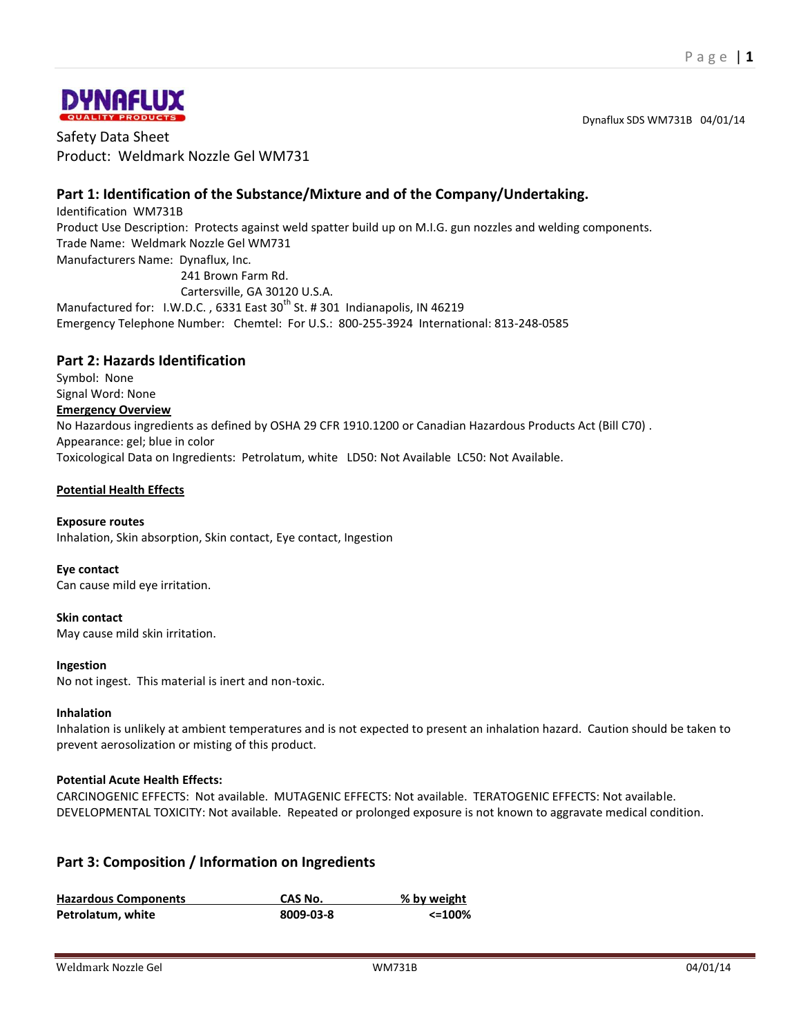Dynaflux SDS WM731B 04/01/14



Safety Data Sheet Product: Weldmark Nozzle Gel WM731

# **Part 1: Identification of the Substance/Mixture and of the Company/Undertaking.**

Identification WM731B Product Use Description: Protects against weld spatter build up on M.I.G. gun nozzles and welding components. Trade Name: Weldmark Nozzle Gel WM731 Manufacturers Name: Dynaflux, Inc. 241 Brown Farm Rd. Cartersville, GA 30120 U.S.A.

Manufactured for: I.W.D.C., 6331 East 30<sup>th</sup> St. # 301 Indianapolis, IN 46219 Emergency Telephone Number: Chemtel: For U.S.: 800-255-3924 International: 813-248-0585

## **Part 2: Hazards Identification**

Symbol: None Signal Word: None **Emergency Overview** No Hazardous ingredients as defined by OSHA 29 CFR 1910.1200 or Canadian Hazardous Products Act (Bill C70) . Appearance: gel; blue in color Toxicological Data on Ingredients: Petrolatum, white LD50: Not Available LC50: Not Available.

### **Potential Health Effects**

### **Exposure routes**

Inhalation, Skin absorption, Skin contact, Eye contact, Ingestion

### **Eye contact**

Can cause mild eye irritation.

### **Skin contact**

May cause mild skin irritation.

### **Ingestion**

No not ingest. This material is inert and non-toxic.

### **Inhalation**

Inhalation is unlikely at ambient temperatures and is not expected to present an inhalation hazard. Caution should be taken to prevent aerosolization or misting of this product.

### **Potential Acute Health Effects:**

CARCINOGENIC EFFECTS: Not available. MUTAGENIC EFFECTS: Not available. TERATOGENIC EFFECTS: Not available. DEVELOPMENTAL TOXICITY: Not available. Repeated or prolonged exposure is not known to aggravate medical condition.

## **Part 3: Composition / Information on Ingredients**

| <b>Hazardous Components</b> | CAS No.   | % by weight |
|-----------------------------|-----------|-------------|
| Petrolatum, white           | 8009-03-8 | <=100%      |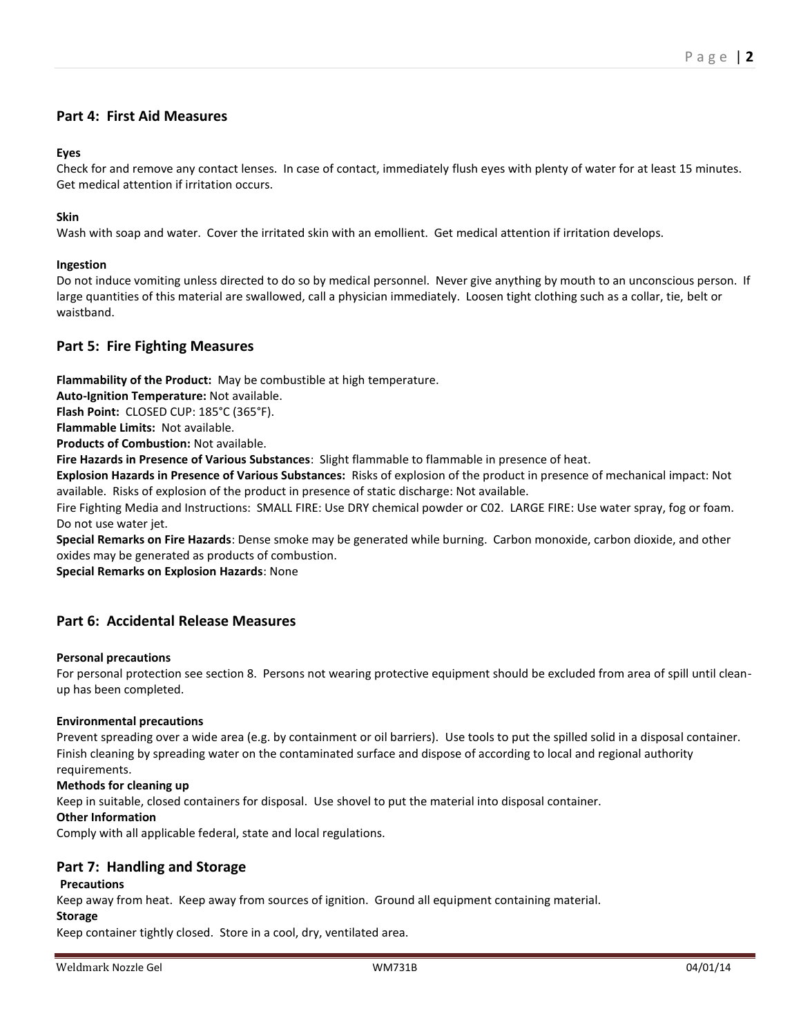## **Part 4: First Aid Measures**

### **Eyes**

Check for and remove any contact lenses. In case of contact, immediately flush eyes with plenty of water for at least 15 minutes. Get medical attention if irritation occurs.

### **Skin**

Wash with soap and water. Cover the irritated skin with an emollient. Get medical attention if irritation develops.

### **Ingestion**

Do not induce vomiting unless directed to do so by medical personnel. Never give anything by mouth to an unconscious person. If large quantities of this material are swallowed, call a physician immediately. Loosen tight clothing such as a collar, tie, belt or waistband.

## **Part 5: Fire Fighting Measures**

**Flammability of the Product:** May be combustible at high temperature.

**Auto-Ignition Temperature:** Not available.

**Flash Point:** CLOSED CUP: 185°C (365°F).

**Flammable Limits:** Not available.

**Products of Combustion:** Not available.

**Fire Hazards in Presence of Various Substances**: Slight flammable to flammable in presence of heat.

**Explosion Hazards in Presence of Various Substances:** Risks of explosion of the product in presence of mechanical impact: Not available. Risks of explosion of the product in presence of static discharge: Not available.

Fire Fighting Media and Instructions: SMALL FIRE: Use DRY chemical powder or C02. LARGE FIRE: Use water spray, fog or foam. Do not use water jet.

**Special Remarks on Fire Hazards**: Dense smoke may be generated while burning. Carbon monoxide, carbon dioxide, and other oxides may be generated as products of combustion.

**Special Remarks on Explosion Hazards**: None

## **Part 6: Accidental Release Measures**

### **Personal precautions**

For personal protection see section 8. Persons not wearing protective equipment should be excluded from area of spill until cleanup has been completed.

### **Environmental precautions**

Prevent spreading over a wide area (e.g. by containment or oil barriers). Use tools to put the spilled solid in a disposal container. Finish cleaning by spreading water on the contaminated surface and dispose of according to local and regional authority requirements.

### **Methods for cleaning up**

Keep in suitable, closed containers for disposal. Use shovel to put the material into disposal container.

### **Other Information**

Comply with all applicable federal, state and local regulations.

## **Part 7: Handling and Storage**

### **Precautions**

Keep away from heat. Keep away from sources of ignition. Ground all equipment containing material.

### **Storage**

Keep container tightly closed. Store in a cool, dry, ventilated area.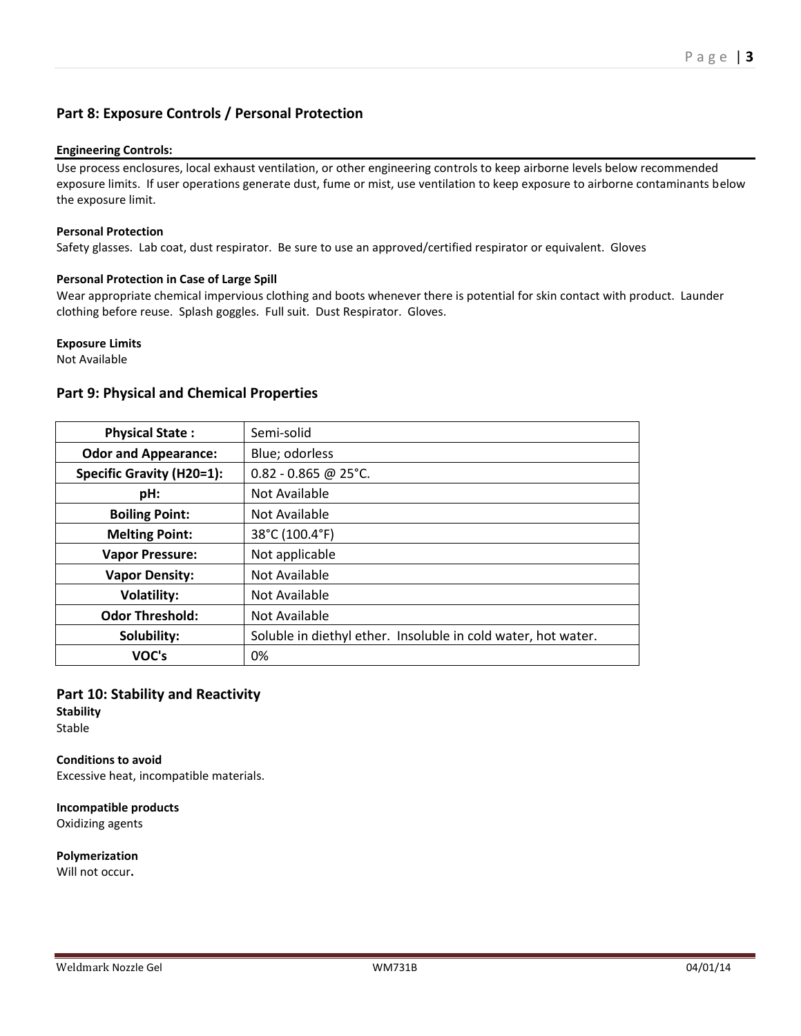## **Part 8: Exposure Controls / Personal Protection**

### **Engineering Controls:**

Use process enclosures, local exhaust ventilation, or other engineering controls to keep airborne levels below recommended exposure limits. If user operations generate dust, fume or mist, use ventilation to keep exposure to airborne contaminants below the exposure limit.

#### **Personal Protection**

Safety glasses. Lab coat, dust respirator. Be sure to use an approved/certified respirator or equivalent. Gloves

#### **Personal Protection in Case of Large Spill**

Wear appropriate chemical impervious clothing and boots whenever there is potential for skin contact with product. Launder clothing before reuse. Splash goggles. Full suit. Dust Respirator. Gloves.

#### **Exposure Limits**

Not Available

### **Part 9: Physical and Chemical Properties**

| <b>Physical State:</b>           | Semi-solid                                                    |
|----------------------------------|---------------------------------------------------------------|
| <b>Odor and Appearance:</b>      | Blue; odorless                                                |
| <b>Specific Gravity (H20=1):</b> | $0.82 - 0.865$ @ 25°C.                                        |
| pH:                              | Not Available                                                 |
| <b>Boiling Point:</b>            | Not Available                                                 |
| <b>Melting Point:</b>            | 38°C (100.4°F)                                                |
| <b>Vapor Pressure:</b>           | Not applicable                                                |
| <b>Vapor Density:</b>            | Not Available                                                 |
| <b>Volatility:</b>               | Not Available                                                 |
| <b>Odor Threshold:</b>           | Not Available                                                 |
| Solubility:                      | Soluble in diethyl ether. Insoluble in cold water, hot water. |
| VOC's                            | 0%                                                            |

## **Part 10: Stability and Reactivity**

**Stability** Stable

**Conditions to avoid** Excessive heat, incompatible materials.

**Incompatible products** Oxidizing agents

**Polymerization** Will not occur**.**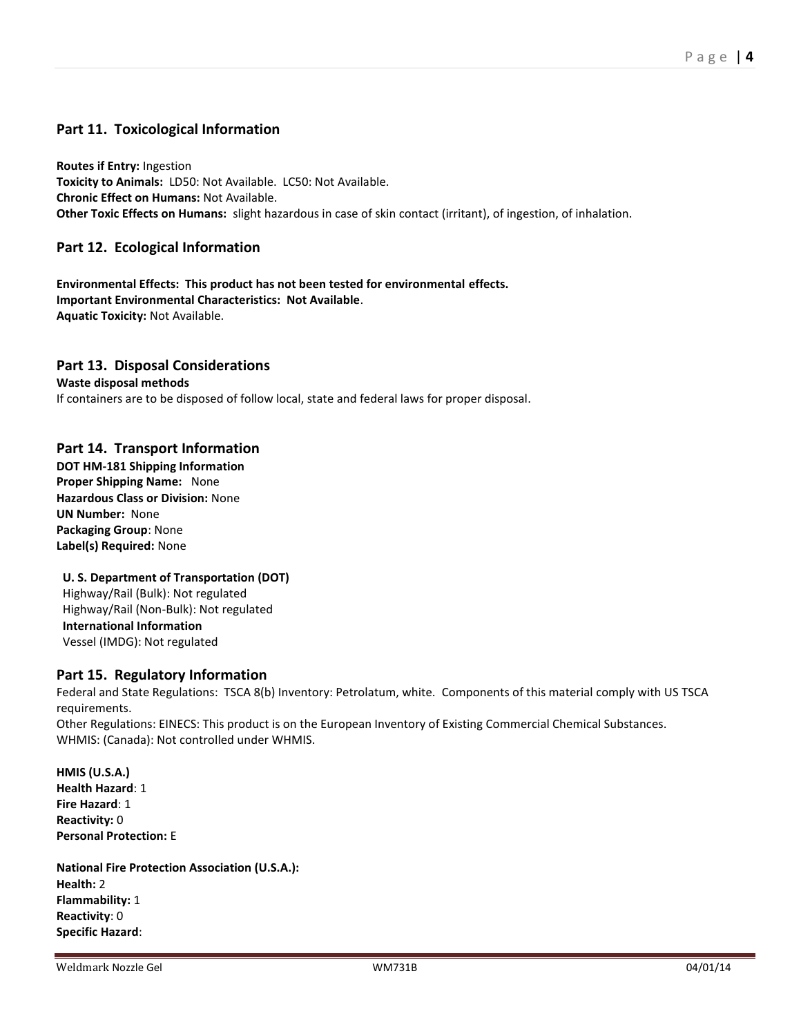## **Part 11. Toxicological Information**

**Routes if Entry:** Ingestion **Toxicity to Animals:** LD50: Not Available. LC50: Not Available. **Chronic Effect on Humans:** Not Available. **Other Toxic Effects on Humans:** slight hazardous in case of skin contact (irritant), of ingestion, of inhalation.

## **Part 12. Ecological Information**

**Environmental Effects: This product has not been tested for environmental effects. Important Environmental Characteristics: Not Available**. **Aquatic Toxicity:** Not Available.

### **Part 13. Disposal Considerations**

**Waste disposal methods** If containers are to be disposed of follow local, state and federal laws for proper disposal.

### **Part 14. Transport Information**

**DOT HM-181 Shipping Information Proper Shipping Name:** None **Hazardous Class or Division:** None **UN Number:** None **Packaging Group**: None **Label(s) Required:** None

### **U. S. Department of Transportation (DOT)**

Highway/Rail (Bulk): Not regulated Highway/Rail (Non-Bulk): Not regulated **International Information**  Vessel (IMDG): Not regulated

### **Part 15. Regulatory Information**

Federal and State Regulations: TSCA 8(b) Inventory: Petrolatum, white. Components of this material comply with US TSCA requirements. Other Regulations: EINECS: This product is on the European Inventory of Existing Commercial Chemical Substances.

WHMIS: (Canada): Not controlled under WHMIS.

**HMIS (U.S.A.) Health Hazard**: 1 **Fire Hazard**: 1 **Reactivity:** 0 **Personal Protection:** E

**National Fire Protection Association (U.S.A.): Health:** 2 **Flammability:** 1 **Reactivity**: 0 **Specific Hazard**: